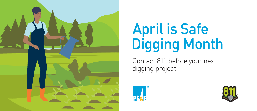

# April is Safe Digging Month

Contact 811 before your next digging project



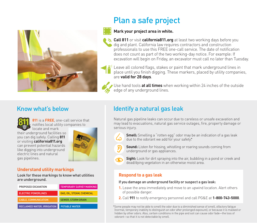

## Plan a safe project

#### **Mark your project area in white.**

**Call 811** or visit **[california811.org](https://california811.org/)** at least two working days before you dig and plant. California law requires contractors and construction professionals to use this FREE one-call service. The date of notification does not count as part of the two working-day notice. For example: If excavation will begin on Friday, an excavator must call no later than Tuesday.



Use hand tools **at all times** when working within 24 inches of the outside edge of any underground lines.

### Know what's below



**811** is a **FREE**, one-call service that notifies local utility companies to locate and mark

their underground facilities so you can dig safely. Calling **811**  or visiting **[california811.org](https://california811.org/)**  can prevent potential hazards like digging into underground electric lines and natural gas pipelines.



#### **Understand utility markings**

Look for these markings to know what utilities are underground.

| PROPOSED EXCAVATION                | TEMPORARY SURVEY MARKING         |
|------------------------------------|----------------------------------|
| <b>ELECTRIC POWERLINES</b>         | <b>GAS. OIL. STEAM. CHEMICAL</b> |
| <b>CABLE, COMMUNICATION</b>        | <b>SEWER, STORM DRAIN</b>        |
| <b>RECLAIMED WATER, IRRIGATION</b> | <b>POTABLE WATER</b>             |

## Identify a natural gas leak

Natural gas pipeline leaks can occur due to careless or unsafe excavation and may lead to evacuations, natural gas service outages, fire, property damage or serious injury.



**Smell:** Smelling a "rotten egg" odor may be an indication of a gas leak due to the odorant we add for your safety\*.

**Sound:** Listen for hissing, whistling or roaring sounds coming from underground or gas appliances.



**Sight:** Look for dirt spraying into the air, bubbling in a pond or creek and dead/dying vegetation in an otherwise moist area.

#### **Respond to a gas leak**

#### If you damage an underground facility or suspect a gas leak:

- **1.** Leave the area immediately and move to an upwind location. Alert others of possible danger.
- **2.** Call **911** to notify emergency personnel and call PG&E at **1-800-743-5000**.

\*Some people may not be able to smell the odor due to a diminished sense of smell, olfactory fatigue (normal, temporary inability to distinguish an odor after prolonged exposure), or because it is masked or hidden by other odors. Also, certain conditions in the pipe and soil can cause odor fade—the loss of odorant—so that it is not detectable by smell.